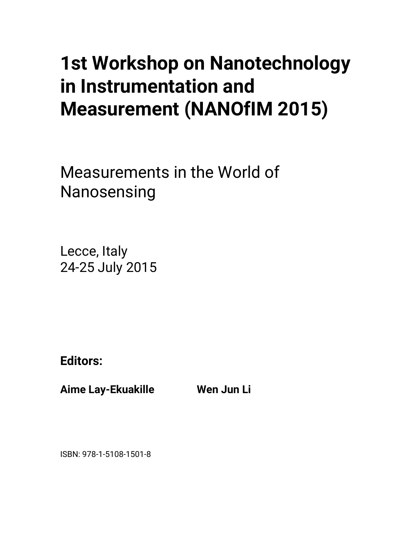# **1st Workshop on Nanotechnology in Instrumentation and Measurement (NANOfIM 2015)**

Measurements in the World of Nanosensing

Lecce, Italy 24-25 July 2015

**Editors:** 

**Aime Lay-Ekuakille Wen Jun Li** 

ISBN: 978-1-5108-1501-8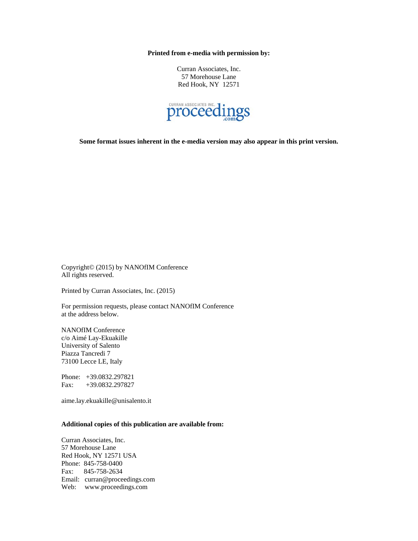**Printed from e-media with permission by:** 

Curran Associates, Inc. 57 Morehouse Lane Red Hook, NY 12571



**Some format issues inherent in the e-media version may also appear in this print version.** 

Copyright© (2015) by NANOfIM Conference All rights reserved.

Printed by Curran Associates, Inc. (2015)

For permission requests, please contact NANOfIM Conference at the address below.

NANOfIM Conference c/o Aimé Lay-Ekuakille University of Salento Piazza Tancredi 7 73100 Lecce LE, Italy

Phone: +39.0832.297821 Fax: +39.0832.297827

aime.lay.ekuakille@unisalento.it

## **Additional copies of this publication are available from:**

Curran Associates, Inc. 57 Morehouse Lane Red Hook, NY 12571 USA Phone: 845-758-0400 Fax: 845-758-2634 Email: curran@proceedings.com Web: www.proceedings.com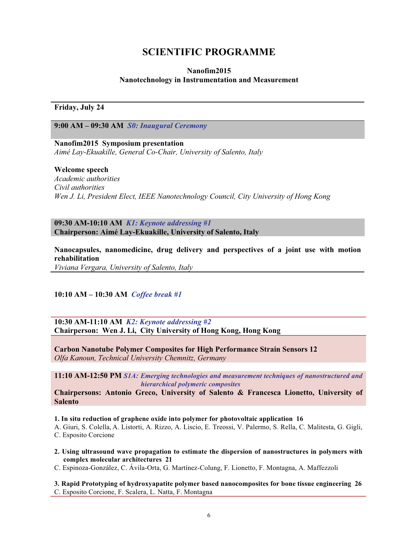# **SCIENTIFIC PROGRAMME**

## **Nanofim2015 Nanotechnology in Instrumentation and Measurement**

**Friday, July 24** 

**9:00 AM – 09:30 AM** *S0: Inaugural Ceremony*

**Nanofim2015 Symposium presentation**  *Aimé Lay-Ekuakille, General Co-Chair, University of Salento, Italy* 

## **Welcome speech**

*Academic authorities Civil authorities Wen J. Li, President Elect, IEEE Nanotechnology Council, City University of Hong Kong* 

**09:30 AM-10:10 AM** *K1: Keynote addressing #1*  **Chairperson: Aimé Lay-Ekuakille, University of Salento, Italy** 

**Nanocapsules, nanomedicine, drug delivery and perspectives of a joint use with motion rehabilitation**  *Viviana Vergara, University of Salento, Italy*

**10:10 AM – 10:30 AM** *Coffee break #1* 

**10:30 AM-11:10 AM** *K2: Keynote addressing #2* **Chairperson: Wen J. Li, City University of Hong Kong, Hong Kong** 

**Carbon Nanotube Polymer Composites for High Performance Strain Sensors 12** *Olfa Kanoun, Technical University Chemnitz, Germany*

**11:10 AM-12:50 PM** *S1A: Emerging technologies and measurement techniques of nanostructured and hierarchical polymeric composites*

**Chairpersons: Antonio Greco, University of Salento & Francesca Lionetto, University of Salento** 

**1. In situ reduction of graphene oxide into polymer for photovoltaic application 16**

A. Giuri, S. Colella, A. Listorti, A. Rizzo, A. Liscio, E. Treossi, V. Palermo, S. Rella, C. Malitesta, G. Gigli, C. Esposito Corcione

**2. Using ultrasound wave propagation to estimate the dispersion of nanostructures in polymers with complex molecular architectures 21**

C. Espinoza-González, C. Ávila-Orta, G. Martínez-Colung, F. Lionetto, F. Montagna, A. Maffezzoli

**3. Rapid Prototyping of hydroxyapatite polymer based nanocomposites for bone tissue engineering 26** C. Esposito Corcione, F. Scalera, L. Natta, F. Montagna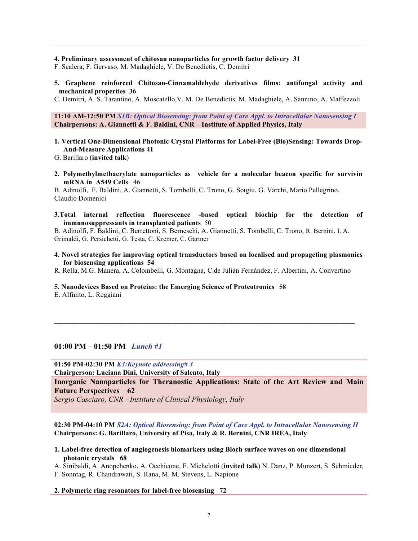#### **4. Preliminary assessment of chitosan nanoparticles for growth factor delivery 31**

F. Scalera, F. Gervaso, M. Madaghiele, V. De Benedictis, C. Demitri

**5. Graphene reinforced Chitosan-Cinnamaldehyde derivatives films: antifungal activity and mechanical properties 36** 

C. Demitri, A. S. Tarantino, A. Moscatello,V. M. De Benedictis, M. Madaghiele, A. Sannino, A. Maffezzoli

### **11:10 AM-12:50 PM** *S1B: Optical Biosensing: from Point of Care Appl. to Intracellular Nanosensing I*  **Chairpersons: A. Giannetti & F. Baldini, CNR – Institute of Applied Physics, Italy**

**1. Vertical One-Dimensional Photonic Crystal Platforms for Label-Free (Bio)Sensing: Towards Drop-And-Measure Applications 41**

G. Barillaro (**invited talk**)

**2. Polymethylmethacrylate nanoparticles as vehicle for a molecular beacon specific for survivin mRNA in A549 Cells** 46

B. Adinolfi, F. Baldini, A. Giannetti, S. Tombelli, C. Trono, G. Sotgiu, G. Varchi, Mario Pellegrino, Claudio Domenici

**3.Total internal reflection fluorescence -based optical biochip for the detection of immunosuppressants in transplanted patients** 50

B. Adinolfi, F. Baldini, C. Berrettoni, S. Berneschi, A. Giannetti, S. Tombelli, C. Trono, R. Bernini, I. A. Grimaldi, G. Persichetti, G. Testa, C. Kremer, C. Gärtner

**4. Novel strategies for improving optical transductors based on localised and propageting plasmonics for biosensing applications 54**

R. Rella, M.G. Manera, A. Colombelli, G. Montagna, C.de Julián Fernández, F. Albertini, A. Convertino

**\_\_\_\_\_\_\_\_\_\_\_\_\_\_\_\_\_\_\_\_\_\_\_\_\_\_\_\_\_\_\_\_\_\_\_\_\_\_\_\_\_\_\_\_\_\_\_\_\_\_\_\_\_\_\_\_\_\_\_\_\_\_\_\_\_\_\_\_\_\_\_\_\_\_\_\_\_\_** 

#### **5. Nanodevices Based on Proteins: the Emerging Science of Proteotronics 58**

E. Alfinito, L. Reggiani

## **01:00 PM – 01:50 PM** *Lunch #1*

**01:50 PM-02:30 PM** *K3:Keynote addressing# 3* 

**Chairperson: Luciana Dini, University of Salento, Italy** 

**Inorganic Nanoparticles for Theranostic Applications: State of the Art Review and Main Future Perspectives 62**

*Sergio Casciaro, CNR - Institute of Clinical Physiology, Italy* 

**02:30 PM-04:10 PM** *S2A: Optical Biosensing: from Point of Care Appl. to Intracellular Nanosensing II* **Chairpersons: G. Barillaro, University of Pisa, Italy & R. Bernini, CNR IREA, Italy** 

**-Label-free detection of angiogenesis biomarkers using Bloch surface waves on one dimensional photonic crystals 68**

A. Sinibaldi, A. Anopchenko, A. Occhicone, F. Michelotti (**invited talk**) N. Danz, P. Munzert, S. Schmieder, F. Sonntag, R. Chandrawati, S. Rana, M. M. Stevens, L. Napione

#### **2. Polymeric ring resonators for label-free biosensing 72**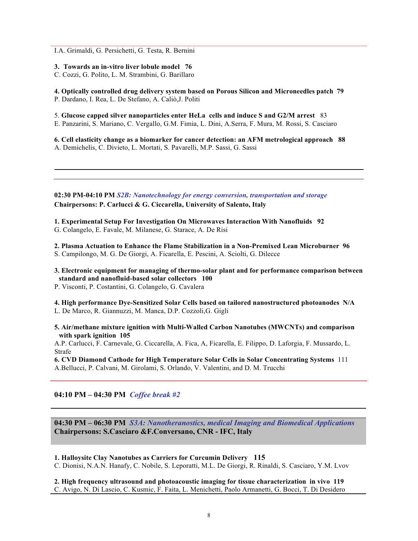I.A. Grimaldi, G. Persichetti, G. Testa, R. Bernini

**3. Towards an in-vitro liver lobule model 76**

C. Cozzi, G. Polito, L. M. Strambini, G. Barillaro

**4. Optically controlled drug delivery system based on Porous Silicon and Microneedles patch 79**  P. Dardano, I. Rea, L. De Stefano, A. Caliò,J. Politi

5. **Glucose capped silver nanoparticles enter HeLa cells and induce S and G2/M arrest** 83

E. Panzarini, S. Mariano, C. Vergallo, G.M. Fimia, L. Dini, A.Serra, F. Mura, M. Rossi, S. Casciaro

**6. Cell elasticity change as a biomarker for cancer detection: an AFM metrological approach 88** A. Demichelis, C. Divieto, L. Mortati, S. Pavarelli, M.P. Sassi, G. Sassi

**02:30 PM-04:10 PM** *S2B: Nanotechnology for energy conversion, transportation and storage* **Chairpersons: P. Carlucci & G. Ciccarella, University of Salento, Italy** 

**1. Experimental Setup For Investigation On Microwaves Interaction With Nanofluids 92** G. Colangelo, E. Favale, M. Milanese, G. Starace, A. De Risi

**2. Plasma Actuation to Enhance the Flame Stabilization in a Non-Premixed Lean Microburner 96** S. Campilongo, M. G. De Giorgi, A. Ficarella, E. Pescini, A. Sciolti, G. Dilecce

**3. Electronic equipment for managing of thermo-solar plant and for performance comparison between** 

**standard and nanofluid-based solar collectors 100**

P. Visconti, P. Costantini, G. Colangelo, G. Cavalera

**4. High performance Dye-Sensitized Solar Cells based on tailored nanostructured photoanodes N/A** L. De Marco, R. Giannuzzi, M. Manca, D.P. Cozzoli,G. Gigli

**5. Air/methane mixture ignition with Multi-Walled Carbon Nanotubes (MWCNTs) and comparison with spark ignition 105**

A.P. Carlucci, F. Carnevale, G. Ciccarella, A. Fica, A, Ficarella, E. Filippo, D. Laforgia, F. Mussardo, L. Strafe

**6. CVD Diamond Cathode for High Temperature Solar Cells in Solar Concentrating Systems** 111 A.Bellucci, P. Calvani, M. Girolami, S. Orlando, V. Valentini, and D. M. Trucchi

## **04:10 PM – 04:30 PM** *Coffee break #2*

**04:30 PM – 06:30 PM** *S3A: Nanotheranostics, medical Imaging and Biomedical Applications*  **Chairpersons: S.Casciaro &F.Conversano, CNR - IFC, Italy**

**1. Halloysite Clay Nanotubes as Carriers for Curcumin Delivery 115**

C. Dionisi, N.A.N. Hanafy, C. Nobile, S. Leporatti, M.L. De Giorgi, R. Rinaldi, S. Casciaro, Y.M. Lvov

**2. High frequency ultrasound and photoacoustic imaging for tissue characterization in vivo 119** C. Avigo, N. Di Lascio, C. Kusmic, F. Faita, L. Menichetti, Paolo Armanetti, G. Bocci, T. Di Desidero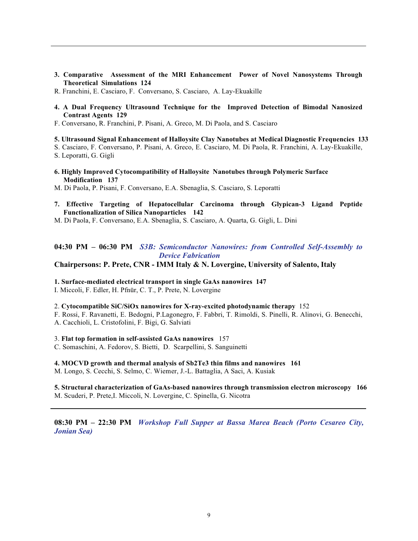- **3. Comparative Assessment of the MRI Enhancement Power of Novel Nanosystems Through Theoretical Simulations 124**
- R. Franchini, E. Casciaro, F. Conversano, S. Casciaro, A. Lay-Ekuakille
- **4. A Dual Frequency Ultrasound Technique for the Improved Detection of Bimodal Nanosized Contrast Agents 129**
- F. Conversano, R. Franchini, P. Pisani, A. Greco, M. Di Paola, and S. Casciaro

#### **5. Ultrasound Signal Enhancement of Halloysite Clay Nanotubes at Medical Diagnostic Frequencies 133**

S. Casciaro, F. Conversano, P. Pisani, A. Greco, E. Casciaro, M. Di Paola, R. Franchini, A. Lay-Ekuakille,

S. Leporatti, G. Gigli

**6. Highly Improved Cytocompatibility of Halloysite Nanotubes through Polymeric Surface Modification 137** 

M. Di Paola, P. Pisani, F. Conversano, E.A. Sbenaglia, S. Casciaro, S. Leporatti

- **7. Effective Targeting of Hepatocellular Carcinoma through Glypican-3 Ligand Peptide Functionalization of Silica Nanoparticles 142**
- M. Di Paola, F. Conversano, E.A. Sbenaglia, S. Casciaro, A. Quarta, G. Gigli, L. Dini

## **04:30 PM – 06:30 PM** *S3B: Semiconductor Nanowires: from Controlled Self-Assembly to Device Fabrication*

## **Chairpersons: P. Prete, CNR - IMM Italy & N. Lovergine, University of Salento, Italy**

**1. Surface-mediated electrical transport in single GaAs nanowires 147**

I. Miccoli, F. Edler, H. Pfnür, C. T., P. Prete, N. Lovergine

2. **Cytocompatible SiC/SiOx nanowires for X-ray-excited photodynamic therapy** 152

F. Rossi, F. Ravanetti, E. Bedogni, P.Lagonegro, F. Fabbri, T. Rimoldi, S. Pinelli, R. Alinovi, G. Benecchi, A. Cacchioli, L. Cristofolini, F. Bigi, G. Salviati

#### 3. **Flat top formation in self-assisted GaAs nanowires** 157

C. Somaschini, A. Fedorov, S. Bietti, D. Scarpellini, S. Sanguinetti

**4. MOCVD growth and thermal analysis of Sb2Te3 thin films and nanowires 161**

M. Longo, S. Cecchi, S. Selmo, C. Wiemer, J.-L. Battaglia, A Saci, A. Kusiak

**5. Structural characterization of GaAs-based nanowires through transmission electron microscopy 166** M. Scuderi, P. Prete,I. Miccoli, N. Lovergine, C. Spinella, G. Nicotra

**08:30 PM – 22:30 PM** *Workshop Full Supper at Bassa Marea Beach (Porto Cesareo City, Jonian Sea)*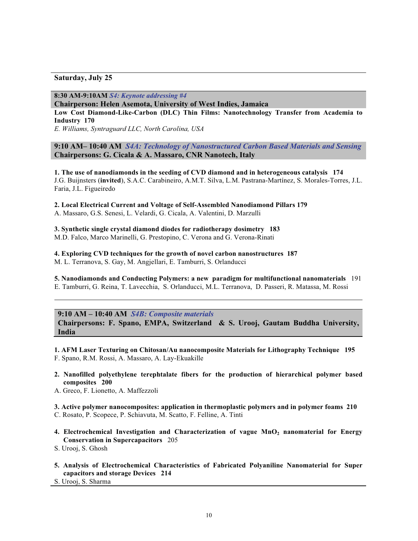## **Saturday, July 25**

**8:30 AM-9:10AM** *S4: Keynote addressing #4* 

**Chairperson: Helen Asemota, University of West Indies, Jamaica** 

**Low Cost Diamond-Like-Carbon (DLC) Thin Films: Nanotechnology Transfer from Academia to Industry 170** 

*E. Williams, Syntraguard LLC, North Carolina, USA* 

## **9:10 AM– 10:40 AM** *S4A: Technology of Nanostructured Carbon Based Materials and Sensing*  **Chairpersons: G. Cicala & A. Massaro, CNR Nanotech, Italy**

**1. The use of nanodiamonds in the seeding of CVD diamond and in heterogeneous catalysis 174** J.G. Buijnsters (**invited**), S.A.C. Carabineiro, A.M.T. Silva, L.M. Pastrana-Martínez, S. Morales-Torres, J.L. Faria, J.L. Figueiredo

**2. Local Electrical Current and Voltage of Self-Assembled Nanodiamond Pillars 179**

A. Massaro, G.S. Senesi, L. Velardi, G. Cicala, A. Valentini, D. Marzulli

**3. Synthetic single crystal diamond diodes for radiotherapy dosimetry 183** M.D. Falco, Marco Marinelli, G. Prestopino, C. Verona and G. Verona-Rinati

**4. Exploring CVD techniques for the growth of novel carbon nanostructures 187** M. L. Terranova, S. Gay, M. Angjellari, E. Tamburri, S. Orlanducci

**5. Nanodiamonds and Conducting Polymers: a new paradigm for multifunctional nanomaterials** 191 E. Tamburri, G. Reina, T. Lavecchia, S. Orlanducci, M.L. Terranova, D. Passeri, R. Matassa, M. Rossi

**9:10 AM – 10:40 AM** *S4B: Composite materials*  **Chairpersons: F. Spano, EMPA, Switzerland & S. Urooj, Gautam Buddha University, India** 

**1. AFM Laser Texturing on Chitosan/Au nanocomposite Materials for Lithography Technique 195** F. Spano, R.M. Rossi, A. Massaro, A. Lay-Ekuakille

- **2. Nanofilled polyethylene terephtalate fibers for the production of hierarchical polymer based composites 200**
- A. Greco, F. Lionetto, A. Maffezzoli

**3. Active polymer nanocomposites: application in thermoplastic polymers and in polymer foams 210** C. Rosato, P. Scopece, P. Schiavuta, M. Scatto, F. Felline, A. Tinti

- **4. Electrochemical Investigation and Characterization of vague MnO2 nanomaterial for Energy Conservation in Supercapacitors** 205
- S. Urooj, S. Ghosh
- **5. Analysis of Electrochemical Characteristics of Fabricated Polyaniline Nanomaterial for Super capacitors and storage Devices 214**

S. Urooj, S. Sharma